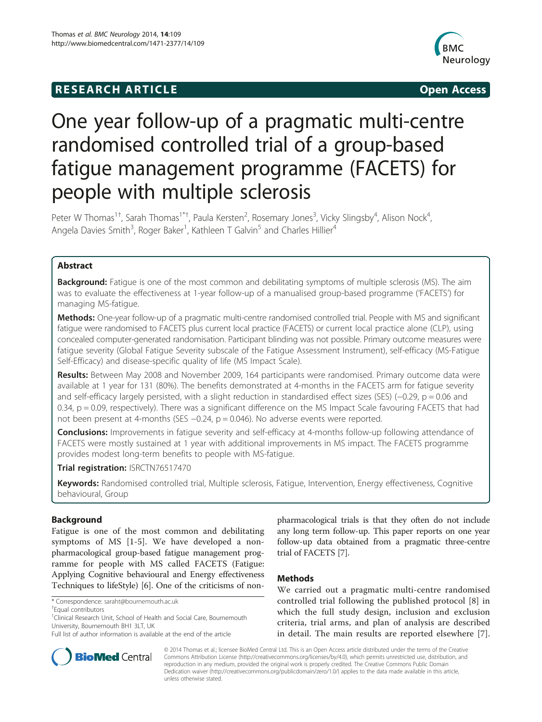# **RESEARCH ARTICLE Example 2014 12:30 The SEAR CHA RTICLE**



# One year follow-up of a pragmatic multi-centre randomised controlled trial of a group-based fatigue management programme (FACETS) for people with multiple sclerosis

Peter W Thomas<sup>1†</sup>, Sarah Thomas<sup>1\*†</sup>, Paula Kersten<sup>2</sup>, Rosemary Jones<sup>3</sup>, Vicky Slingsby<sup>4</sup>, Alison Nock<sup>4</sup> , Angela Davies Smith<sup>3</sup>, Roger Baker<sup>1</sup>, Kathleen T Galvin<sup>5</sup> and Charles Hillier<sup>4</sup>

# Abstract

Background: Fatigue is one of the most common and debilitating symptoms of multiple sclerosis (MS). The aim was to evaluate the effectiveness at 1-year follow-up of a manualised group-based programme ('FACETS') for managing MS-fatigue.

Methods: One-year follow-up of a pragmatic multi-centre randomised controlled trial. People with MS and significant fatigue were randomised to FACETS plus current local practice (FACETS) or current local practice alone (CLP), using concealed computer-generated randomisation. Participant blinding was not possible. Primary outcome measures were fatigue severity (Global Fatigue Severity subscale of the Fatigue Assessment Instrument), self-efficacy (MS-Fatigue Self-Efficacy) and disease-specific quality of life (MS Impact Scale).

Results: Between May 2008 and November 2009, 164 participants were randomised. Primary outcome data were available at 1 year for 131 (80%). The benefits demonstrated at 4-months in the FACETS arm for fatigue severity and self-efficacy largely persisted, with a slight reduction in standardised effect sizes (SES) (−0.29, p = 0.06 and 0.34, p = 0.09, respectively). There was a significant difference on the MS Impact Scale favouring FACETS that had not been present at 4-months (SES −0.24, p = 0.046). No adverse events were reported.

**Conclusions:** Improvements in fatigue severity and self-efficacy at 4-months follow-up following attendance of FACETS were mostly sustained at 1 year with additional improvements in MS impact. The FACETS programme provides modest long-term benefits to people with MS-fatigue.

Trial registration: [ISRCTN76517470](http://www.controlled-trials.com/ISRCTN76517470)

Keywords: Randomised controlled trial, Multiple sclerosis, Fatigue, Intervention, Energy effectiveness, Cognitive behavioural, Group

# Background

Fatigue is one of the most common and debilitating symptoms of MS [[1-5](#page-5-0)]. We have developed a nonpharmacological group-based fatigue management programme for people with MS called FACETS (Fatigue: Applying Cognitive behavioural and Energy effectiveness Techniques to lifeStyle) [\[6](#page-5-0)]. One of the criticisms of non-



# Methods

We carried out a pragmatic multi-centre randomised controlled trial following the published protocol [[8\]](#page-5-0) in which the full study design, inclusion and exclusion criteria, trial arms, and plan of analysis are described in detail. The main results are reported elsewhere [[7](#page-5-0)].



© 2014 Thomas et al.; licensee BioMed Central Ltd. This is an Open Access article distributed under the terms of the Creative Commons Attribution License [\(http://creativecommons.org/licenses/by/4.0\)](http://creativecommons.org/licenses/by/4.0), which permits unrestricted use, distribution, and reproduction in any medium, provided the original work is properly credited. The Creative Commons Public Domain Dedication waiver [\(http://creativecommons.org/publicdomain/zero/1.0/](http://creativecommons.org/publicdomain/zero/1.0/)) applies to the data made available in this article, unless otherwise stated.

<sup>\*</sup> Correspondence: [saraht@bournemouth.ac.uk](mailto:saraht@bournemouth.ac.uk) †

Equal contributors

<sup>&</sup>lt;sup>1</sup>Clinical Research Unit, School of Health and Social Care, Bournemouth University, Bournemouth BH1 3LT, UK

Full list of author information is available at the end of the article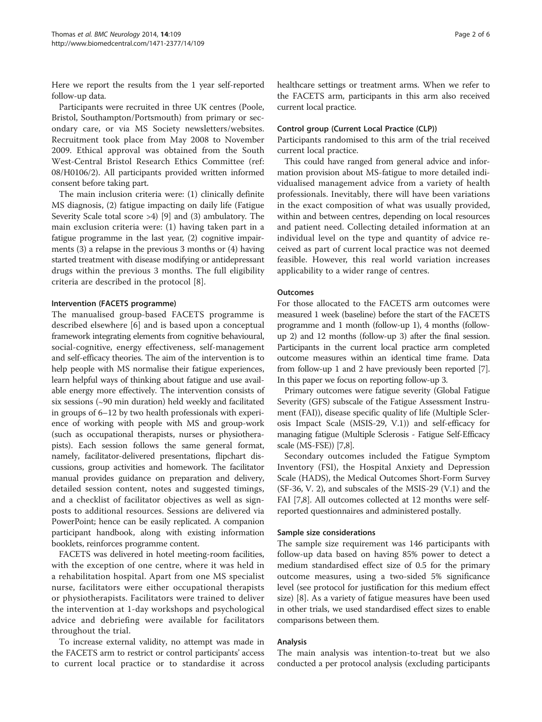Here we report the results from the 1 year self-reported follow-up data.

Participants were recruited in three UK centres (Poole, Bristol, Southampton/Portsmouth) from primary or secondary care, or via MS Society newsletters/websites. Recruitment took place from May 2008 to November 2009. Ethical approval was obtained from the South West-Central Bristol Research Ethics Committee (ref: 08/H0106/2). All participants provided written informed consent before taking part.

The main inclusion criteria were: (1) clinically definite MS diagnosis, (2) fatigue impacting on daily life (Fatigue Severity Scale total score >4) [\[9](#page-5-0)] and (3) ambulatory. The main exclusion criteria were: (1) having taken part in a fatigue programme in the last year, (2) cognitive impairments (3) a relapse in the previous 3 months or (4) having started treatment with disease modifying or antidepressant drugs within the previous 3 months. The full eligibility criteria are described in the protocol [[8\]](#page-5-0).

# Intervention (FACETS programme)

The manualised group-based FACETS programme is described elsewhere [[6\]](#page-5-0) and is based upon a conceptual framework integrating elements from cognitive behavioural, social-cognitive, energy effectiveness, self-management and self-efficacy theories. The aim of the intervention is to help people with MS normalise their fatigue experiences, learn helpful ways of thinking about fatigue and use available energy more effectively. The intervention consists of six sessions (∼90 min duration) held weekly and facilitated in groups of 6–12 by two health professionals with experience of working with people with MS and group-work (such as occupational therapists, nurses or physiotherapists). Each session follows the same general format, namely, facilitator-delivered presentations, flipchart discussions, group activities and homework. The facilitator manual provides guidance on preparation and delivery, detailed session content, notes and suggested timings, and a checklist of facilitator objectives as well as signposts to additional resources. Sessions are delivered via PowerPoint; hence can be easily replicated. A companion participant handbook, along with existing information booklets, reinforces programme content.

FACETS was delivered in hotel meeting-room facilities, with the exception of one centre, where it was held in a rehabilitation hospital. Apart from one MS specialist nurse, facilitators were either occupational therapists or physiotherapists. Facilitators were trained to deliver the intervention at 1-day workshops and psychological advice and debriefing were available for facilitators throughout the trial.

To increase external validity, no attempt was made in the FACETS arm to restrict or control participants' access to current local practice or to standardise it across healthcare settings or treatment arms. When we refer to the FACETS arm, participants in this arm also received current local practice.

# Control group (Current Local Practice (CLP))

Participants randomised to this arm of the trial received current local practice.

This could have ranged from general advice and information provision about MS-fatigue to more detailed individualised management advice from a variety of health professionals. Inevitably, there will have been variations in the exact composition of what was usually provided, within and between centres, depending on local resources and patient need. Collecting detailed information at an individual level on the type and quantity of advice received as part of current local practice was not deemed feasible. However, this real world variation increases applicability to a wider range of centres.

# **Outcomes**

For those allocated to the FACETS arm outcomes were measured 1 week (baseline) before the start of the FACETS programme and 1 month (follow-up 1), 4 months (followup 2) and 12 months (follow-up 3) after the final session. Participants in the current local practice arm completed outcome measures within an identical time frame. Data from follow-up 1 and 2 have previously been reported [[7](#page-5-0)]. In this paper we focus on reporting follow-up 3.

Primary outcomes were fatigue severity (Global Fatigue Severity (GFS) subscale of the Fatigue Assessment Instrument (FAI)), disease specific quality of life (Multiple Sclerosis Impact Scale (MSIS-29, V.1)) and self-efficacy for managing fatigue (Multiple Sclerosis - Fatigue Self-Efficacy scale (MS-FSE)) [7,8].

Secondary outcomes included the Fatigue Symptom Inventory (FSI), the Hospital Anxiety and Depression Scale (HADS), the Medical Outcomes Short-Form Survey (SF-36, V. 2), and subscales of the MSIS-29 (V.1) and the FAI [[7,8](#page-5-0)]. All outcomes collected at 12 months were selfreported questionnaires and administered postally.

# Sample size considerations

The sample size requirement was 146 participants with follow-up data based on having 85% power to detect a medium standardised effect size of 0.5 for the primary outcome measures, using a two-sided 5% significance level (see protocol for justification for this medium effect size) [\[8\]](#page-5-0). As a variety of fatigue measures have been used in other trials, we used standardised effect sizes to enable comparisons between them.

# Analysis

The main analysis was intention-to-treat but we also conducted a per protocol analysis (excluding participants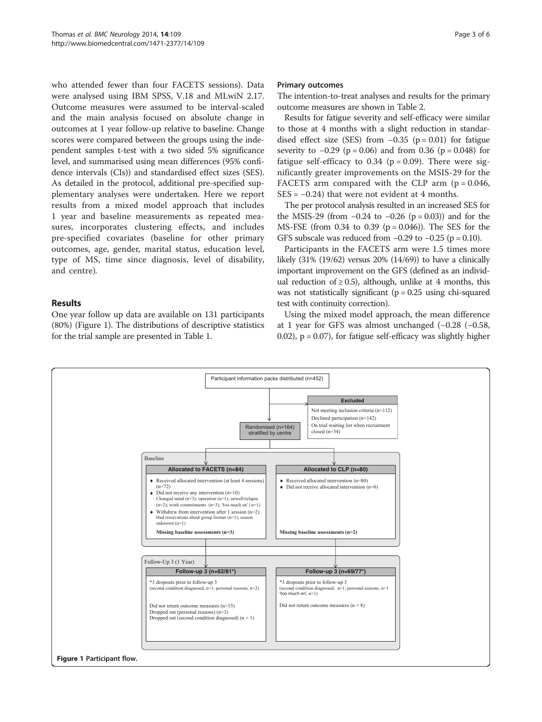who attended fewer than four FACETS sessions). Data were analysed using IBM SPSS, V.18 and MLwiN 2.17. Outcome measures were assumed to be interval-scaled and the main analysis focused on absolute change in outcomes at 1 year follow-up relative to baseline. Change scores were compared between the groups using the independent samples t-test with a two sided 5% significance level, and summarised using mean differences (95% confidence intervals (CIs)) and standardised effect sizes (SES). As detailed in the protocol, additional pre-specified supplementary analyses were undertaken. Here we report results from a mixed model approach that includes 1 year and baseline measurements as repeated measures, incorporates clustering effects, and includes pre-specified covariates (baseline for other primary outcomes, age, gender, marital status, education level, type of MS, time since diagnosis, level of disability, and centre).

# Results

One year follow up data are available on 131 participants (80%) (Figure 1). The distributions of descriptive statistics for the trial sample are presented in Table [1](#page-3-0).

### Primary outcomes

The intention-to-treat analyses and results for the primary outcome measures are shown in Table [2](#page-4-0).

Results for fatigue severity and self-efficacy were similar to those at 4 months with a slight reduction in standardised effect size (SES) from  $-0.35$  (p = 0.01) for fatigue severity to  $-0.29$  (p = 0.06) and from 0.36 (p = 0.048) for fatigue self-efficacy to  $0.34$  ( $p = 0.09$ ). There were significantly greater improvements on the MSIS-29 for the FACETS arm compared with the CLP arm  $(p = 0.046,$  $SES = -0.24$ ) that were not evident at 4 months.

The per protocol analysis resulted in an increased SES for the MSIS-29 (from  $-0.24$  to  $-0.26$  (p = 0.03)) and for the MS-FSE (from 0.34 to 0.39 (p = 0.046)). The SES for the GFS subscale was reduced from  $-0.29$  to  $-0.25$  (p = 0.10).

Participants in the FACETS arm were 1.5 times more likely (31% (19/62) versus 20% (14/69)) to have a clinically important improvement on the GFS (defined as an individual reduction of  $\geq$  0.5), although, unlike at 4 months, this was not statistically significant ( $p = 0.25$  using chi-squared test with continuity correction).

Using the mixed model approach, the mean difference at 1 year for GFS was almost unchanged (−0.28 (−0.58, 0.02),  $p = 0.07$ , for fatigue self-efficacy was slightly higher

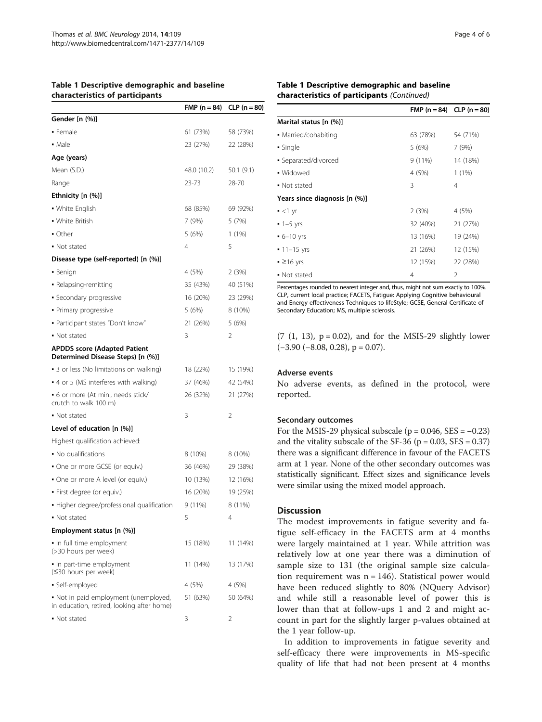<span id="page-3-0"></span>

| Table 1 Descriptive demographic and baseline |  |
|----------------------------------------------|--|
| characteristics of participants              |  |

|                                                                                     | $FMP (n = 84)$ | $CLP (n = 80)$ |
|-------------------------------------------------------------------------------------|----------------|----------------|
| Gender [n (%)]                                                                      |                |                |
| • Female                                                                            | 61 (73%)       | 58 (73%)       |
| • Male                                                                              | 23 (27%)       | 22 (28%)       |
| Age (years)                                                                         |                |                |
| Mean (S.D.)                                                                         | 48.0 (10.2)    | 50.1 (9.1)     |
| Range                                                                               | 23-73          | 28-70          |
| Ethnicity [n (%)]                                                                   |                |                |
| • White English                                                                     | 68 (85%)       | 69 (92%)       |
| • White British                                                                     | 7 (9%)         | 5 (7%)         |
| • Other                                                                             | 5 (6%)         | 1(1%)          |
| • Not stated                                                                        | 4              | 5              |
| Disease type (self-reported) [n (%)]                                                |                |                |
| • Benign                                                                            | 4 (5%)         | 2 (3%)         |
| • Relapsing-remitting                                                               | 35 (43%)       | 40 (51%)       |
| • Secondary progressive                                                             | 16 (20%)       | 23 (29%)       |
| • Primary progressive                                                               | 5 (6%)         | 8 (10%)        |
| • Participant states "Don't know"                                                   | 21 (26%)       | 5 (6%)         |
| • Not stated                                                                        | 3              | 2              |
| <b>APDDS score (Adapted Patient</b><br>Determined Disease Steps) [n (%)]            |                |                |
| • 3 or less (No limitations on walking)                                             | 18 (22%)       | 15 (19%)       |
| • 4 or 5 (MS interferes with walking)                                               | 37 (46%)       | 42 (54%)       |
| • 6 or more (At min., needs stick/<br>crutch to walk 100 m)                         | 26 (32%)       | 21 (27%)       |
| • Not stated                                                                        | 3              | 2              |
| Level of education $[n (%)]$                                                        |                |                |
| Highest qualification achieved:                                                     |                |                |
| • No qualifications                                                                 | 8 (10%)        | 8 (10%)        |
| • One or more GCSE (or equiv.)                                                      | 36 (46%)       | 29 (38%)       |
| • One or more A level (or equiv.)                                                   | 10 (13%)       | 12 (16%)       |
| • First degree (or equiv.)                                                          | 16 (20%)       | 19 (25%)       |
| · Higher degree/professional qualification                                          | 9 (11%)        | 8 (11%)        |
| • Not stated                                                                        | 5              | 4              |
| Employment status [n (%)]                                                           |                |                |
| . In full time employment<br>(>30 hours per week)                                   | 15 (18%)       | 11 (14%)       |
| In part-time employment<br>(≤30 hours per week)                                     | 11 (14%)       | 13 (17%)       |
| · Self-employed                                                                     | 4 (5%)         | 4 (5%)         |
| • Not in paid employment (unemployed,<br>in education, retired, looking after home) | 51 (63%)       | 50 (64%)       |
| • Not stated                                                                        | 3              | 2              |

# Table 1 Descriptive demographic and baseline characteristics of participants (Continued)

|                               | FMP $(n = 84)$ CLP $(n = 80)$ |          |
|-------------------------------|-------------------------------|----------|
| Marital status [n (%)]        |                               |          |
| • Married/cohabiting          | 63 (78%)                      | 54 (71%) |
| • Single                      | 5 (6%)                        | 7(9%)    |
| • Separated/divorced          | $9(11\%)$                     | 14 (18%) |
| • Widowed                     | 4 (5%)                        | $1(1\%)$ |
| • Not stated                  | 3                             | 4        |
| Years since diagnosis [n (%)] |                               |          |
| $-$ <1 yr                     | 2(3%)                         | 4 (5%)   |
| $-1 - 5$ yrs                  | 32 (40%)                      | 21 (27%) |
| $-6 - 10$ yrs                 | 13 (16%)                      | 19 (24%) |
| $-11 - 15$ yrs                | 21 (26%)                      | 12 (15%) |
| $\geq$ 216 yrs                | 12 (15%)                      | 22 (28%) |
| • Not stated                  | 4                             | 2        |

Percentages rounded to nearest integer and, thus, might not sum exactly to 100%. CLP, current local practice; FACETS, Fatigue: Applying Cognitive behavioural and Energy effectiveness Techniques to lifeStyle; GCSE, General Certificate of Secondary Education; MS, multiple sclerosis.

 $(7 (1, 13), p = 0.02)$ , and for the MSIS-29 slightly lower  $(-3.90 (-8.08, 0.28), p = 0.07).$ 

# Adverse events

No adverse events, as defined in the protocol, were reported.

#### Secondary outcomes

For the MSIS-29 physical subscale ( $p = 0.046$ , SES =  $-0.23$ ) and the vitality subscale of the SF-36 ( $p = 0.03$ , SES = 0.37) there was a significant difference in favour of the FACETS arm at 1 year. None of the other secondary outcomes was statistically significant. Effect sizes and significance levels were similar using the mixed model approach.

# **Discussion**

The modest improvements in fatigue severity and fatigue self-efficacy in the FACETS arm at 4 months were largely maintained at 1 year. While attrition was relatively low at one year there was a diminution of sample size to 131 (the original sample size calculation requirement was  $n = 146$ ). Statistical power would have been reduced slightly to 80% (NQuery Advisor) and while still a reasonable level of power this is lower than that at follow-ups 1 and 2 and might account in part for the slightly larger p-values obtained at the 1 year follow-up.

In addition to improvements in fatigue severity and self-efficacy there were improvements in MS-specific quality of life that had not been present at 4 months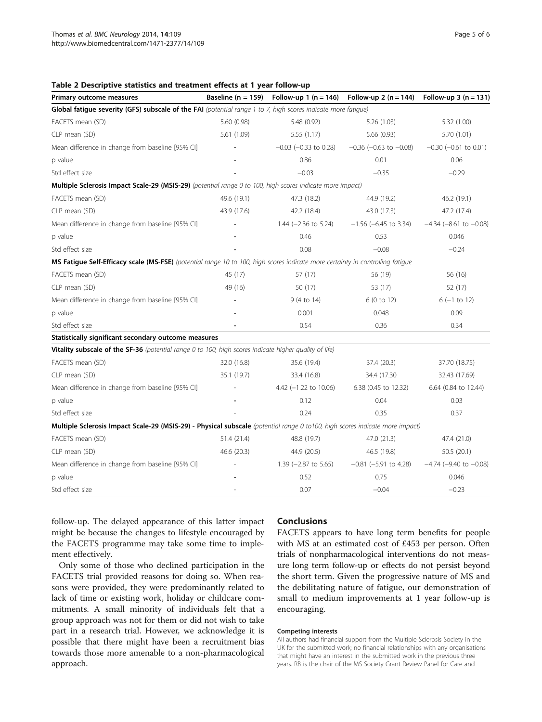#### <span id="page-4-0"></span>Table 2 Descriptive statistics and treatment effects at 1 year follow-up

| Primary outcome measures                                                                                                       | Baseline ( $n = 159$ ) | Follow-up 1 ( $n = 146$ )       | Follow-up 2 ( $n = 144$ )      | Follow-up 3 ( $n = 131$ )      |
|--------------------------------------------------------------------------------------------------------------------------------|------------------------|---------------------------------|--------------------------------|--------------------------------|
| Global fatigue severity (GFS) subscale of the FAI (potential range 1 to 7, high scores indicate more fatigue)                  |                        |                                 |                                |                                |
| FACETS mean (SD)                                                                                                               | 5.60 (0.98)            | 5.48 (0.92)                     | 5.26(1.03)                     | 5.32 (1.00)                    |
| CLP mean (SD)                                                                                                                  | 5.61 (1.09)            | 5.55 (1.17)                     | 5.66 (0.93)                    | 5.70 (1.01)                    |
| Mean difference in change from baseline [95% CI]                                                                               |                        | $-0.03$ ( $-0.33$ to 0.28)      | $-0.36$ ( $-0.63$ to $-0.08$ ) | $-0.30$ ( $-0.61$ to 0.01)     |
| p value                                                                                                                        |                        | 0.86                            | 0.01                           | 0.06                           |
| Std effect size                                                                                                                |                        | $-0.03$                         | $-0.35$                        | $-0.29$                        |
| Multiple Sclerosis Impact Scale-29 (MSIS-29) (potential range 0 to 100, high scores indicate more impact)                      |                        |                                 |                                |                                |
| FACETS mean (SD)                                                                                                               | 49.6 (19.1)            | 47.3 (18.2)                     | 44.9 (19.2)                    | 46.2 (19.1)                    |
| CLP mean (SD)                                                                                                                  | 43.9 (17.6)            | 42.2 (18.4)                     | 43.0 (17.3)                    | 47.2 (17.4)                    |
| Mean difference in change from baseline [95% CI]                                                                               |                        | 1.44 $(-2.36 \text{ to } 5.24)$ | $-1.56$ (-6.45 to 3.34)        | $-4.34$ ( $-8.61$ to $-0.08$ ) |
| p value                                                                                                                        |                        | 0.46                            | 0.53                           | 0.046                          |
| Std effect size                                                                                                                |                        | 0.08                            | $-0.08$                        | $-0.24$                        |
| MS Fatigue Self-Efficacy scale (MS-FSE) (potential range 10 to 100, high scores indicate more certainty in controlling fatigue |                        |                                 |                                |                                |
| FACETS mean (SD)                                                                                                               | 45 (17)                | 57 (17)                         | 56 (19)                        | 56 (16)                        |
| CLP mean (SD)                                                                                                                  | 49 (16)                | 50 (17)                         | 53 (17)                        | 52 (17)                        |
| Mean difference in change from baseline [95% CI]                                                                               |                        | 9 (4 to 14)                     | 6 (0 to 12)                    | $6(-1 to 12)$                  |
| p value                                                                                                                        |                        | 0.001                           | 0.048                          | 0.09                           |
| Std effect size                                                                                                                |                        | 0.54                            | 0.36                           | 0.34                           |
| Statistically significant secondary outcome measures                                                                           |                        |                                 |                                |                                |
| Vitality subscale of the SF-36 (potential range 0 to 100, high scores indicate higher quality of life)                         |                        |                                 |                                |                                |
| FACETS mean (SD)                                                                                                               | 32.0 (16.8)            | 35.6 (19.4)                     | 37.4 (20.3)                    | 37.70 (18.75)                  |
| CLP mean (SD)                                                                                                                  | 35.1 (19.7)            | 33.4 (16.8)                     | 34.4 (17.30)                   | 32.43 (17.69)                  |
| Mean difference in change from baseline [95% CI]                                                                               |                        | 4.42 (-1.22 to 10.06)           | 6.38 (0.45 to 12.32)           | 6.64 (0.84 to 12.44)           |
| p value                                                                                                                        |                        | 0.12                            | 0.04                           | 0.03                           |
| Std effect size                                                                                                                |                        | 0.24                            | 0.35                           | 0.37                           |
| Multiple Sclerosis Impact Scale-29 (MSIS-29) - Physical subscale (potential range 0 to100, high scores indicate more impact)   |                        |                                 |                                |                                |
| FACETS mean (SD)                                                                                                               | 51.4 (21.4)            | 48.8 (19.7)                     | 47.0 (21.3)                    | 47.4 (21.0)                    |
| CLP mean (SD)                                                                                                                  | 46.6 (20.3)            | 44.9 (20.5)                     | 46.5 (19.8)                    | 50.5(20.1)                     |
| Mean difference in change from baseline [95% CI]                                                                               |                        | 1.39 $(-2.87$ to 5.65)          | $-0.81$ ( $-5.91$ to 4.28)     | $-4.74$ ( $-9.40$ to $-0.08$ ) |
| p value                                                                                                                        |                        | 0.52                            | 0.75                           | 0.046                          |
| Std effect size                                                                                                                |                        | 0.07                            | $-0.04$                        | $-0.23$                        |

follow-up. The delayed appearance of this latter impact might be because the changes to lifestyle encouraged by the FACETS programme may take some time to implement effectively.

Only some of those who declined participation in the FACETS trial provided reasons for doing so. When reasons were provided, they were predominantly related to lack of time or existing work, holiday or childcare commitments. A small minority of individuals felt that a group approach was not for them or did not wish to take part in a research trial. However, we acknowledge it is possible that there might have been a recruitment bias towards those more amenable to a non-pharmacological approach.

# Conclusions

FACETS appears to have long term benefits for people with MS at an estimated cost of £453 per person. Often trials of nonpharmacological interventions do not measure long term follow-up or effects do not persist beyond the short term. Given the progressive nature of MS and the debilitating nature of fatigue, our demonstration of small to medium improvements at 1 year follow-up is encouraging.

#### Competing interests

All authors had financial support from the Multiple Sclerosis Society in the UK for the submitted work; no financial relationships with any organisations that might have an interest in the submitted work in the previous three years. RB is the chair of the MS Society Grant Review Panel for Care and